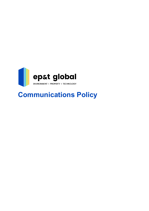

# **Communications Policy**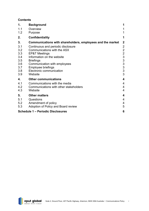# **Contents**

| 1.  | <b>Background</b>                                          | 1                                          |
|-----|------------------------------------------------------------|--------------------------------------------|
| 1.1 | Overview                                                   |                                            |
| 1.2 | Purpose                                                    | 1                                          |
| 2.  | <b>Confidentiality</b>                                     | 1                                          |
| 3.  | Communications with shareholders, employees and the market | $\boldsymbol{2}$                           |
| 3.1 | Continuous and periodic disclosure                         | $\overline{\mathbf{c}}$                    |
| 3.2 | Communications with the ASX                                | $\overline{c}$                             |
| 3.3 | <b>EP&amp;T Meetings</b>                                   |                                            |
| 3.4 | Information on the website                                 | $\begin{array}{c} 2 \\ 3 \\ 3 \end{array}$ |
| 3.5 | <b>Briefings</b>                                           |                                            |
| 3.6 | Communication with employees                               | 3                                          |
| 3.7 | Employee briefings                                         | 3                                          |
| 3.8 | Electronic communication                                   | $\overline{3}$                             |
| 3.9 | Website                                                    | 3                                          |
| 4.  | <b>Other communications</b>                                | 4                                          |
| 4.1 | Communications with the media                              | $\overline{\mathcal{A}}$                   |
| 4.2 | Communications with other stakeholders                     | $\overline{\mathcal{A}}$                   |
| 4.3 | Website                                                    | 4                                          |
| 5.  | <b>Other matters</b>                                       | $\overline{\mathbf{4}}$                    |
| 5.1 | Questions                                                  | 4                                          |
| 5.2 | Amendment of policy                                        | $\overline{4}$                             |
| 5.3 | Adoption of Policy and Board review                        | 5                                          |
|     | <b>Schedule 1 - Periodic Disclosures</b>                   | 6                                          |

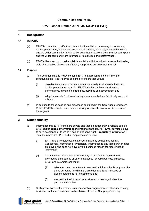# **Communications Policy**

# **EP&T Global Limited ACN 645 144 314 (EP&T)**

# <span id="page-2-0"></span>**1. Background**

#### <span id="page-2-1"></span>**1.1 Overview**

- (a) EP&T is committed to effective communication with its customers, shareholders, market participants, employees, suppliers, financiers, creditors, other stakeholders and the wider community. EP&T will ensure that all stakeholders, market participants and the wider community are informed of its activities and performance.
- (b) EP&T will endeavour to make publicly available all information to ensure that trading in its shares takes place in an efficient, competitive and informed market.

#### <span id="page-2-2"></span>**1.2 Purpose**

- (a) This Communications Policy contains EP&T's approach and commitment to communication. The Policy is designed to ensure that EP&T:
	- (i) provides timely and accurate information equally to all shareholders and market participants regarding EP&T including its financial situation, performance, ownership, strategies, activities and governance; and
	- (ii) adopts channels for disseminating information that are fair, timely and cost efficient.
- (b) In addition to those policies and processes contained in the Continuous Disclosure Policy, EP&T has implemented a number of processes to ensure achievement of these goals.

# <span id="page-2-3"></span>**2. Confidentiality**

- (a) Information that EP&T considers private and that is not generally available outside EP&T (**Confidential Information**) and information that EP&T owns, develops, pays to have developed or to which it has an exclusive right (**Proprietary Information**) must be treated by EP&T and all employees as follows:
	- (i) EP&T and all employees must ensure that they do not disclose any Confidential Information or Proprietary Information to any third party or other employee who does not have a valid business reason for receiving that information;
	- (ii) if Confidential Information or Proprietary Information is required to be provided to third parties or other employees for valid business purposes, EP&T and its employees must:
		- (A) take adequate precautions to ensure that information is only used for those purposes for which it is provided and is not misused or disseminated to EP&T's detriment; and
		- (B) ensure that the information is returned or destroyed when the purpose is complete.
- (b) Such precautions include obtaining a confidentiality agreement or other undertaking. Advice about these measures can be obtained from the Company Secretary.

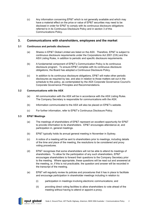(c) Any information concerning EP&T which is not generally available and which may have a material effect on the price or value of EP&T securities may need to be disclosed in order for EP&T to comply with its continuous disclosure obligations referred to in its Continuous Disclosure Policy and in section 3 of this Communications Policy.

# <span id="page-3-0"></span>**3. Communications with shareholders, employees and the market**

#### <span id="page-3-1"></span>**3.1 Continuous and periodic disclosure**

- (a) Shares in EP&T Global Limited are listed on the ASX. Therefore, EP&T is subject to continuous disclosure requirements under the Corporations Act 2001 (Cth) and the ASX Listing Rules, in addition to periodic and specific disclosure requirements.
- (b) A fundamental component of EP&T's Communication Policy is its continuous disclosure program. To ensure EP&T complies with its continuous disclosure obligations, the Board has adopted a Continuous Disclosure Policy.
- (c) In addition to its continuous disclosure obligations, EP&T will make other periodic disclosures as required by law, and also in relation to those matters set out in the schedule to this policy, as contemplated by the ASX Corporate Governance Council's Corporate Governance Principles and Recommendations.

#### <span id="page-3-2"></span>**3.2 Communications with the ASX**

- (a) All communication with the ASX will be in accordance with the ASX Listing Rules. The Company Secretary is responsible for communications with the ASX.
- (b) Information communicated to the ASX will also be placed on EP&T's website.
- (c) For further information, refer to EP&T's Continuous Disclosure Policy.

# <span id="page-3-3"></span>**3.3 EP&T Meetings**

- (a) The meetings of shareholders of EP&T represent an excellent opportunity for EP&T to provide information to its shareholders. EP&T encourages attendance at, and participation in, general meetings.
- (b) EP&T typically holds its annual general meeting in November in Sydney.
- (c) A notice of a meeting will be sent to shareholders prior to meetings, including details of the time and place of the meeting, the resolutions to be considered and proxy voting procedures.
- (d) EP&T recognises that some shareholders will not be able to attend its meetings of shareholders. To allow for the participation of any such shareholders, EP&T encourages shareholders to forward their questions to the Company Secretary prior to the meeting. Where appropriate, these questions will be read out and answered at the meeting, or, if this is not practicable, the question and answer will be recorded in the transcript of the meeting.
- (e) EP&T will regularly review its policies and procedures that it has in place to facilitate and encourage participation in shareholder meetings including in relation to:
	- (i) participation in meetings involving electronic communications; and
	- (ii) providing direct voting facilities to allow shareholders to vote ahead of the meeting without having to attend or appoint a proxy.

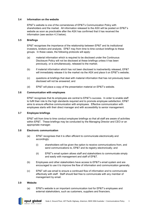#### <span id="page-4-0"></span>**3.4 Information on the website**

EP&T's website is one of the cornerstones of EP&T's Communication Policy with shareholders and the market. All information released to the ASX will be posted on EP&T's website as soon as practicable after the ASX has confirmed that it has received the information (see section [4.3](#page-5-3) below).

#### <span id="page-4-1"></span>**3.5 Briefings**

EP&T recognises the importance of the relationship between EP&T and its institutional investors, brokers and analysts. EP&T may from time to time conduct briefings to these groups. In these cases, the following protocols will apply:

- (a) material information which is required to be disclosed under the Continuous Disclosure Policy will not be disclosed at these briefings unless it has been previously, or is simultaneously, released to the market;
- (b) if material information which has not been disclosed is inadvertently released, EP&T will immediately release it to the market via the ASX and place it on EP&T's website;
- (c) questions at briefings that deal with material information that has not previously been disclosed will not be answered; and
- (d) EP&T will place a copy of the presentation material on EP&T's website.

#### <span id="page-4-2"></span>**3.6 Communication with employees**

EP&T recognises that its employees are central to EP&T's success. In order to enable staff to fulfil their role to the high standards required and to promote employee satisfaction, EP&T aims to ensure effective communication with employees. Effective communication with employees starts with their direct manager and with accessibility to senior management.

#### <span id="page-4-3"></span>**3.7 Employee briefings**

EP&T will from time to time conduct employee briefings so that all staff are aware of activities within EP&T. These briefings may be conducted by the Managing Director and CEO or an appropriate manager.

#### <span id="page-4-4"></span>**3.8 Electronic communication**

- (a) EP&T recognises that it is often efficient to communicate electronically and accordingly:
	- (i) shareholders will be given the option to receive communications from, and send communications to, EP&T and its registry electronically; and
	- (ii) EP&T's email system allows staff and stakeholders to communicate simply and easily with management and staff of EP&T.
- (b) Employees and other stakeholders have access to EP&T's email system and are encouraged to use it to improve the flow of information and communication generally.
- (c) EP&T will use email to ensure a continued flow of information and to communicate effectively with staff. Staff should feel free to communicate with any member of management by email.

#### <span id="page-4-5"></span>**3.9 Website**

(a) EP&Ts website is an important communication tool for EP&T's employees and external stakeholders, such as customers, suppliers and financiers.

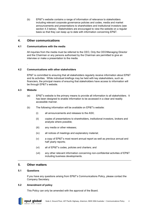(b) EP&T's website contains a range of information of relevance to stakeholders including relevant corporate governance policies and codes, media and market announcements and presentations to shareholders and institutional investors (see section [4.3](#page-5-3) below). Stakeholders are encouraged to view the website on a regular basis so that they can keep up to date with information concerning EP&T.

# <span id="page-5-0"></span>**4. Other communications**

#### <span id="page-5-1"></span>**4.1 Communications with the media**

All inquiries from the media must be referred to the CEO, Only the CEO/Managing Director and the Chairman or any persons authorised by the Chairman are permitted to give an interview or make a presentation to the media.

#### <span id="page-5-2"></span>**4.2 Communications with other stakeholders**

EP&T is committed to ensuring that all stakeholders regularly receive information about EP&T and its activities. While individual briefings may be held with key stakeholders, such as financiers, the principal means of ensuring that stakeholders have access to information will be through EP&T's website.

#### <span id="page-5-3"></span>**4.3 Website**

.

- (a) EP&T's website is the primary means to provide all information to all stakeholders. It has been designed to enable information to be accessed in a clear and readily accessible manner.
- (b) The following information will be available on EP&T's website:
	- (i) all announcements and releases to the ASX;
	- (ii) copies of presentations to shareholders, institutional investors, brokers and analysts where possible;
	- (iii) any media or other releases;
	- (iv) all notices of meetings and explanatory material;
	- (v) a copy of EP&T's most recent annual report as well as previous annual and half yearly reports;
	- (vi) all of EP&T's codes, policies and charters; and
	- (vii) any other relevant information concerning non-confidential activities of EP&T including business developments.

#### <span id="page-5-4"></span>**5. Other matters**

#### <span id="page-5-5"></span>**5.1 Questions**

If you have any questions arising from EP&T's Communications Policy, please contact the Company Secretary.

#### <span id="page-5-6"></span>**5.2 Amendment of policy**

epst global

This Policy can only be amended with the approval of the Board.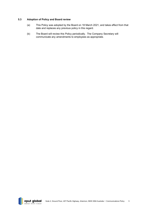### <span id="page-6-0"></span>**5.3 Adoption of Policy and Board review**

- (a) This Policy was adopted by the Board on 18 March 2021, and takes effect from that date and replaces any previous policy in this regard.
- (b) The Board will review this Policy periodically. The Company Secretary will communicate any amendments to employees as appropriate.

epst global ENT I PROPERTY I TECHNOLOGY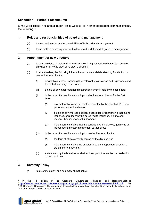# <span id="page-7-0"></span>**Schedule 1 – Periodic Disclosures**

EP&T will disclose in its annual report, on its website, or in other appropriate communications, the following<sup>[1](#page-7-1)</sup>:

# **1. Roles and responsibilities of board and management**

- (a) the respective roles and responsibilities of its board and management;
- (b) those matters expressly reserved to the board and those delegated to management;

# **2. Appointment of new directors**

- (a) to shareholders, all material information in EP&T's possession relevant to a decision on whether or not to elect or re-elect a director;
- (b) to shareholders, the following information about a candidate standing for election or re-election as a director:
	- (i) biographical details, including their relevant qualifications and experience and the skills they bring to the board;
	- (ii) details of any other material directorships currently held by the candidate;
	- (iii) in the case of a candidate standing for elections as a director for the first time:
		- (A) any material adverse information revealed by the checks EP&T has performed about the director;
		- (B) details of any interest, position, association or relationship that might influence, or reasonably be perceived to influence, in a material respect, their independent judgement;
		- (C) if the board considers that the candidate will, if elected, qualify as an independent director, a statement to that effect,
	- $(iv)$  in the case of a candidate standing for re-election as a director:
		- (A) the term of office currently served by the director; and
		- (B) if the board considers the director to be an independent director, a statement to that effect;
	- (v) a statement by the board as to whether it supports the election or re-election of the candidate;

# **3. Diversity Policy**

(a) its diversity policy, or a summary of that policy;

<span id="page-7-1"></span>In the 4th edition of its Corporate Governance Principles and Recommendations [\(https://www.asx.com.au/documents/asx-compliance/cgc-principles-and-recommendations-fourth-edn.pdf](https://www.asx.com.au/documents/asx-compliance/cgc-principles-and-recommendations-fourth-edn.pdf) ), the ASX Corporate Governance Council identify these disclosures as those that should be made by listed entities in their annual report and/or on their website.

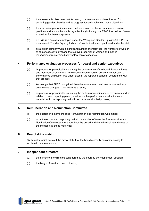- (b) the measurable objectives that its board, or a relevant committee, has set for achieving gender diversity and its progress towards achieving those objectives;
- (c) the respective proportions of men and women on the board, in senior executive positions and across the whole organisation (including how EP&T has defined "senior executive" for these purposes);
- (d) if EP&T is a "relevant employer" under the Workplace Gender Equality Act, EP&T's most recent "Gender Equality Indicators", as defined in and published under that Act;
- (e) as a larger company with a significant number of employees, the numbers of women at senior executive level and the relative proportion of women and men in management roles immediately below senior executive;

# **4. Performance evaluation processes for board and senior executives**

- (a) its process for periodically evaluating the performance of the board, its committees and individual directors and, in relation to each reporting period, whether such a performance evaluation was undertaken in the reporting period in accordance with that process;
- (b) knowledge that EP&T has gained from the evaluations mentioned above and any governance changes it has made as a result;
- (c) its process for periodically evaluating the performance of its senior executives and, in relation to each reporting period, whether such a performance evaluation was undertaken in the reporting period in accordance with that process;

# **5. Remuneration and Nomination Committee**

- (a) the charter and members of its Remuneration and Nomination Committee;
- (b) as at the end of each reporting period, the number of times the Remuneration and Nomination Committee met throughout the period and the individual attendances of the members at those meetings;

#### **6. Board skills matrix**

Skills matrix which sets out the mix of skills that the board currently has or its looking to achieve in its membership;

#### **7. Independent directors**

- (a) the names of the directors considered by the board to be independent directors;
- (b) the length of service of each director;

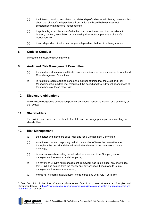- (c) the interest, position, association or relationship of a director which may cause doubts about that director's independence,<sup>[2](#page-9-0)</sup> but which the board believes does not compromise that director's independence;
- (d) if applicable, an explanation of why the board is of the opinion that the relevant interest, position, association or relationship does not compromise a director's independence;
- (e) if an independent director is no longer independent, that fact in a timely manner;

# **8. Code of Conduct**

Its code of conduct, or a summary of it;

# **9. Audit and Risk Management Committee**

- (a) the charter and relevant qualifications and experience of the members of its Audit and Risk Management Committee;
- (b) in relation to each reporting period, the number of times that the Audit and Risk Management Committee met throughout the period and the individual attendances of the members at those meetings;

# **10. Disclosure obligations**

Its disclosure obligations compliance policy (Continuous Disclosure Policy), or a summary of that policy;

# **11. Shareholders**

The policies and processes in place to facilitate and encourage participation at meetings of shareholders;

# **12. Risk Management**

- (a) the charter and members of its Audit and Risk Management Committee;
- (b) as at the end of each reporting period, the number of times the committee met throughout the period and the individual attendances of the members at those meetings;
- (c) in relation to each reporting period, whether a review of the Company's risk management framework has taken place;
- (d) if a review of EP&T's risk management framework has taken place, any knowledge that EP&T has gained from the review and any changes it has made to its risk management framework as a result;
- (e) how EP&T's internal audit function is structured and what role it performs;

<span id="page-9-0"></span><sup>2</sup> See Box 2.3 of the ASX Corporate Governance Council Corporate Governance Principles and Recommendations, [\(https://www.asx.com.au/documents/asx-compliance/cgc-principles-and-recommendations](https://www.asx.com.au/documents/asx-compliance/cgc-principles-and-recommendations-fourth-edn.pdf)[fourth-edn.pdf](https://www.asx.com.au/documents/asx-compliance/cgc-principles-and-recommendations-fourth-edn.pdf) ) at page 14.

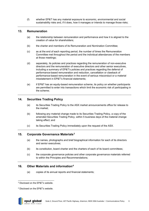(f) whether EP&T has any material exposure to economic, environmental and social sustainability risks and, if it does, how it manages or intends to manage those risks;

# **13. Remuneration**

- (a) the relationship between remuneration and performance and how it is aligned to the creation of value for shareholders;
- (b) the charter and members of its Remuneration and Nomination Committee;
- (c) as at the end of each reporting period, the number of times the Remuneration Committee met throughout the period and the individual attendances of the members at those meetings;
- (d) separately, its policies and practices regarding the remuneration of non-executive directors and the remuneration of executive directors and other senior executives, including a summary of EP&T's policies and practices regarding the deferral of performance-based remuneration and reduction, cancellation or clawback of performance-based remuneration in the event of serious misconduct or a material misstatement in EP&T's financial statements;
- (e) if EP&T has an equity-based remuneration scheme, its policy on whether participants are permitted to enter into transactions which limit the economic risk of participating in the scheme;

# **14. Securities Trading Policy**

- (a) its Securities Trading Policy to the ASX market announcements office for release to the market;
- (b) following any material change made to its Securities Trading Policy, a copy of the amended Securities Trading Policy, within 5 business days of the material change taking effect; and
- (c) its Securities Trading Policy immediately upon the request of the ASX.

#### **15. Corporate Governance Materials***[3](#page-10-0)*

- (a) the names, photographs and brief biographical information for each of its directors and senior executives;
- (b) its constitution, board charter and the charters of each of its board committees;
- (c) the corporate governance policies and other corporate governance materials referred to within the Principles and Recommendations;

# **16. Other Materials and information***[4](#page-10-1)*

(a) copies of its annual reports and financial statements;

<span id="page-10-1"></span><span id="page-10-0"></span><sup>4</sup> Disclosed on the EP&T's website.



<sup>3</sup> Disclosed on the EP&T's website.